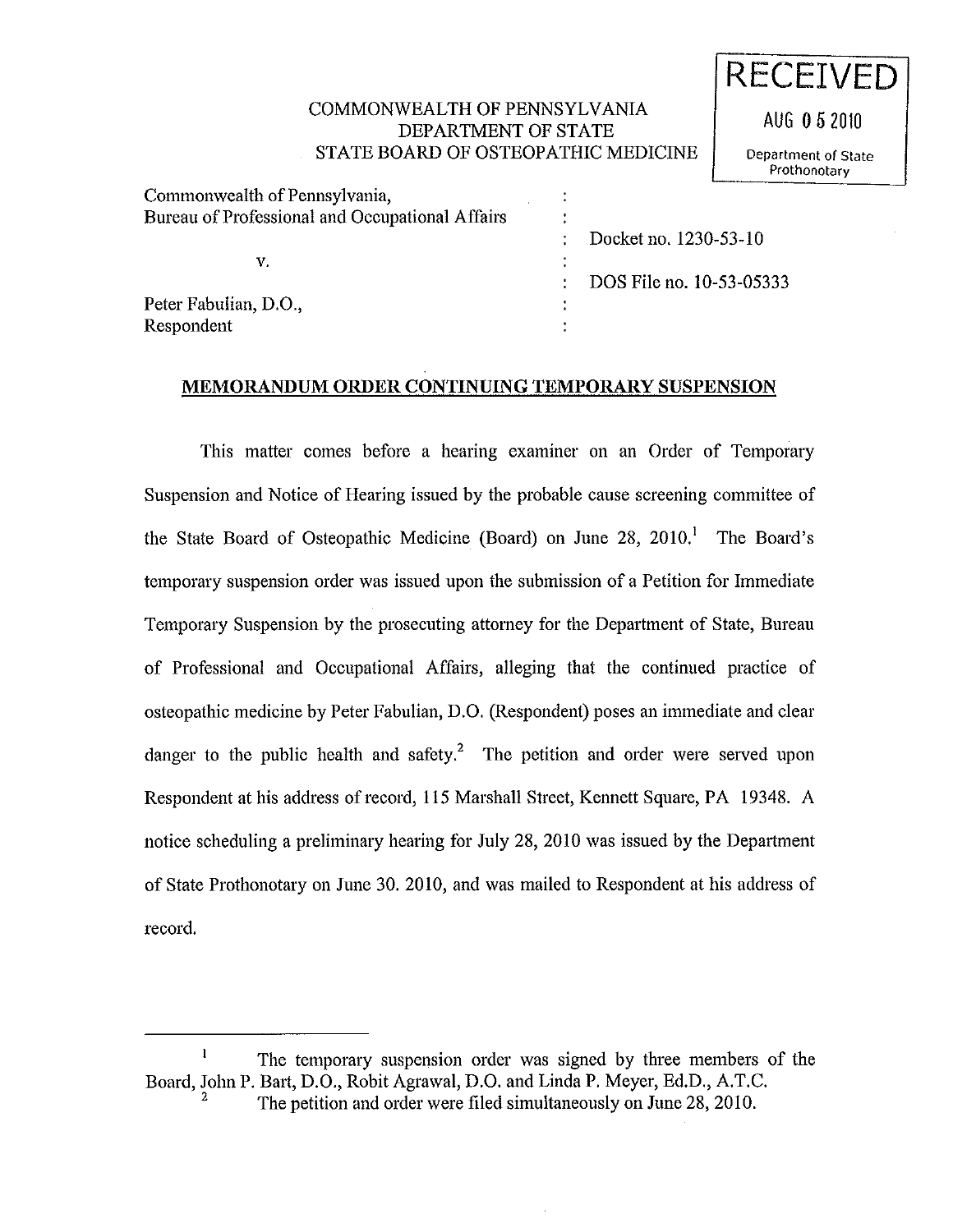## COMMONWEALTH OF PENNSYLVANIA DEPARTMENT OF STATE STATE BOARD OF OSTEOPATHIC MEDICINE

t

t

**RECEIVED** 

AUG **0** 5 2010

Department of State Prothonotary

Commonwealth of Pennsylvania, Bureau of Professional and Occupational Affairs

v.

Docket no. 1230-53-10

DOS File no. 10-53-05333

Peter Fabulian, D.O., Respondent

## **MEMORANDUM ORDER CONTINUING TEMPORARY SUSPENSION**

This matter comes before a hearing examiner on an Order of Temporary Suspension and Notice of Hearing issued by the probable cause screening committee of the State Board of Osteopathic Medicine (Board) on June  $28$ ,  $2010<sup>1</sup>$  The Board's temporary suspension order was issued upon the submission of a Petition for Immediate Temporary Suspension by the prosecuting attorney for the Department of State, Bureau of Professional and Occupational Affairs, alleging that the continued practice of osteopathic medicine by Peter Fabulian, D.O. (Respondent) poses an immediate and clear danger to the public health and safety.<sup>2</sup> The petition and order were served upon Respondent at his address of record, 115 Marshall Street, Kennett Square, PA 19348. A notice scheduling a preliminary hearing for July 28, 2010 was issued by the Department of State Prothonotary on June 30. 2010, and was mailed to Respondent at his address of record.

 $\mathbf{I}$ The temporary suspension order was signed by three members of the Board, John P. Bart, D.O., Robit Agrawal, D.O. and Linda **P.** Meyer, Ed.D., A.T.C.

The petition and order were filed simultaneously on June 28, 2010.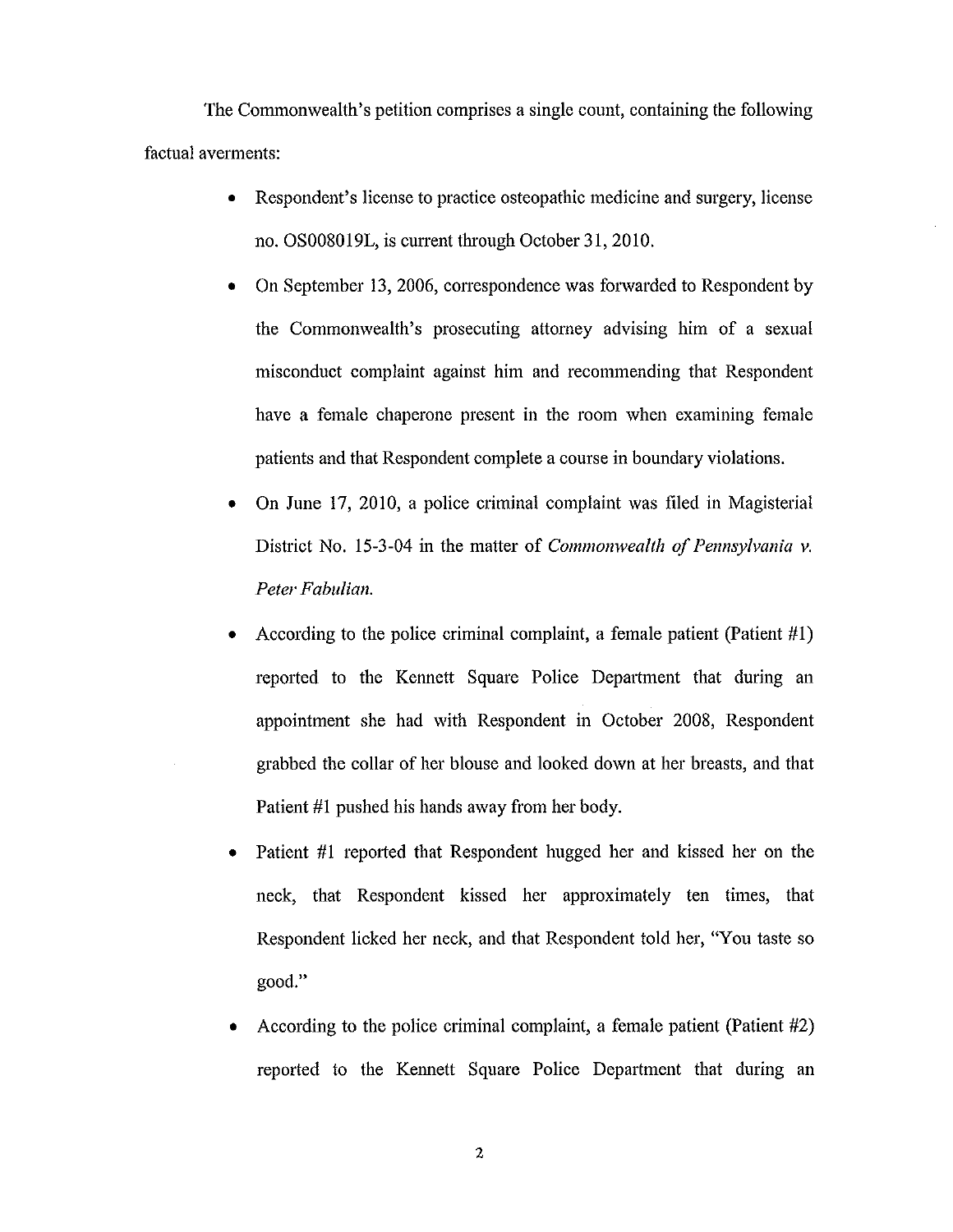The Commonwealth's petition comprises a single count, containing the following factual averments:

- Respondent's license to practice osteopathic medicine and surgery, license no. OS008019L, is current through October 31,2010.
- On September 13, 2006, conespondence was forwarded to Respondent by the Commonwealth's prosecuting attorney advising him of a sexual misconduct complaint against him and recommending that Respondent have a female chaperone present in the room when examining female patients and that Respondent complete a course in boundary violations.
- On June 17, 2010, a police criminal complaint was filed in Magisterial District No. 15-3-04 in the matter of *Commonwealth of Pennsylvania v. Peter Fabulian.*
- According to the police criminal complaint, a female patient (Patient  $#1$ ) reported to the Kennett Square Police Department that during an appointment she had with Respondent in October 2008, Respondent grabbed the collar of her blouse and looked down at her breasts, and that Patient #1 pushed his hands away from her body.
- Patient #1 reported that Respondent hugged her and kissed her on the neck, that Respondent kissed her approximately ten times, that Respondent licked her neck, and that Respondent told her, "You taste so good."
- According to the police criminal complaint, a female patient (Patient #2) reported to the Kennett Square Police Department that during an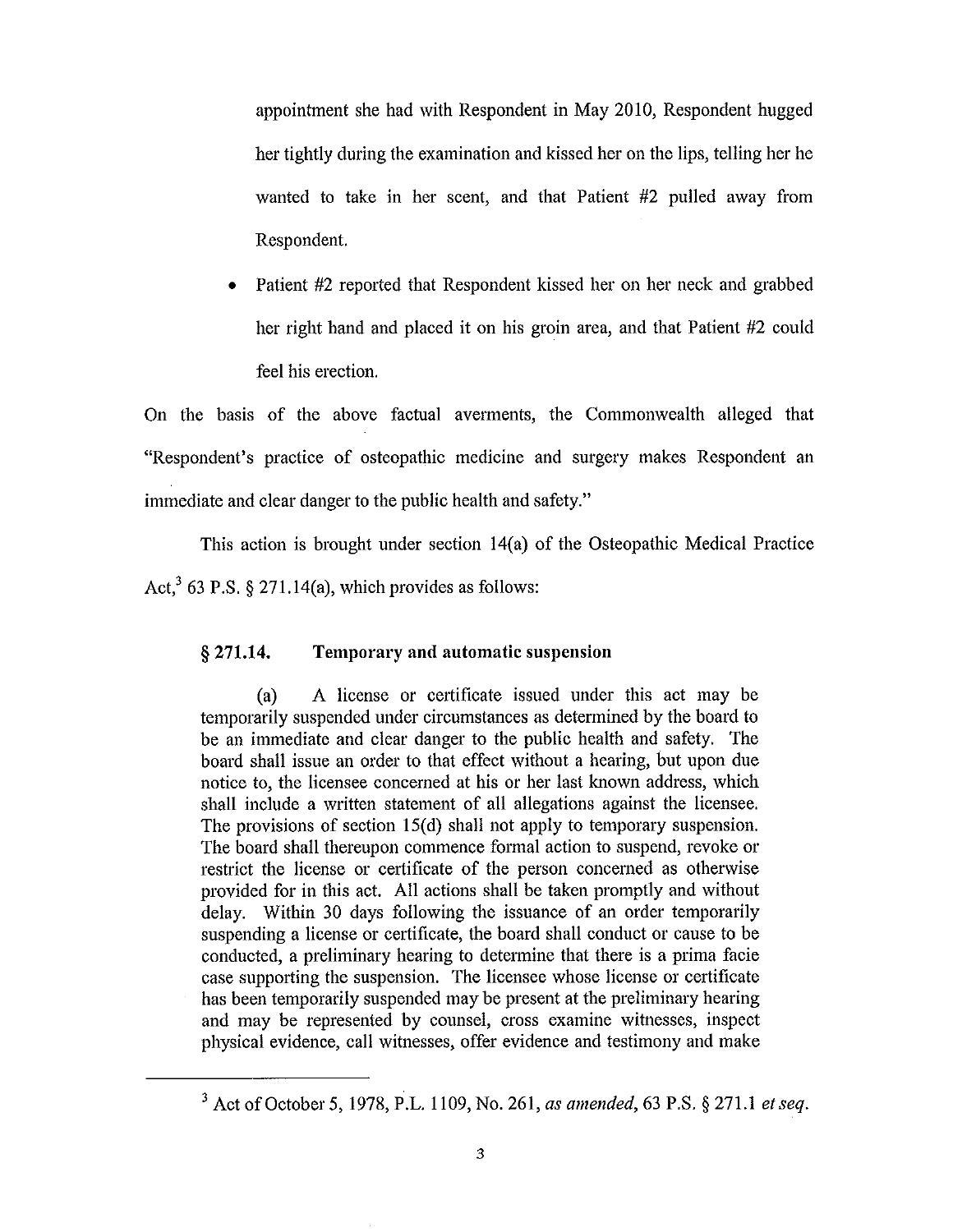appointment she had with Respondent in May 2010, Respondent hugged her tightly during the examination and kissed her on the lips, telling her he wanted to take in her scent, and that Patient #2 pulled away from Respondent.

Patient #2 reported that Respondent kissed her on her neck and grabbed her right hand and placed it on his groin area, and that Patient #2 could feel his erection.

On the basis of the above factual averments, the Commonwealth alleged that "Respondent's practice of osteopathic medicine and surgery makes Respondent an immediate and clear danger to the public health and safety."

This action is brought under section 14(a) of the Osteopathic Medical Practice Act,<sup>3</sup> 63 P.S. § 271.14(a), which provides as follows:

## § **271.14. Temporary and automatic suspension**

(a) A license or cettificate issued under this act may be temporarily suspended under circumstances as determined by the board to be an immediate and clear danger to the public health and safety. The board shall issue an order to that effect without a hearing, but upon due notice to, the licensee concerned at his or her last known address, which shall include a written statement of all allegations against the licensee. The provisions of section  $15(d)$  shall not apply to temporary suspension. The board shall thereupon commence formal action to suspend, revoke or restrict the license or certificate of the person concerned as otherwise provided for in this act. All actions shall be taken promptly and without delay. Within 30 days following the issuance of an order temporarily suspending a license or certificate, the board shall conduct or cause to be conducted, a preliminary hearing to determine that there is a prima facie case supporting the suspension. The licensee whose license or certificate has been temporarily suspended may be present at the preliminary hearing and may be represented by counsel, cross examine witnesses, inspect physical evidence, call witnesses, offer evidence and testimony and make

<sup>3</sup> Act of October 5, 1978, P.L. 1109, No. 261, *as amended,* 63 P.S. § 271.1 *et seq.*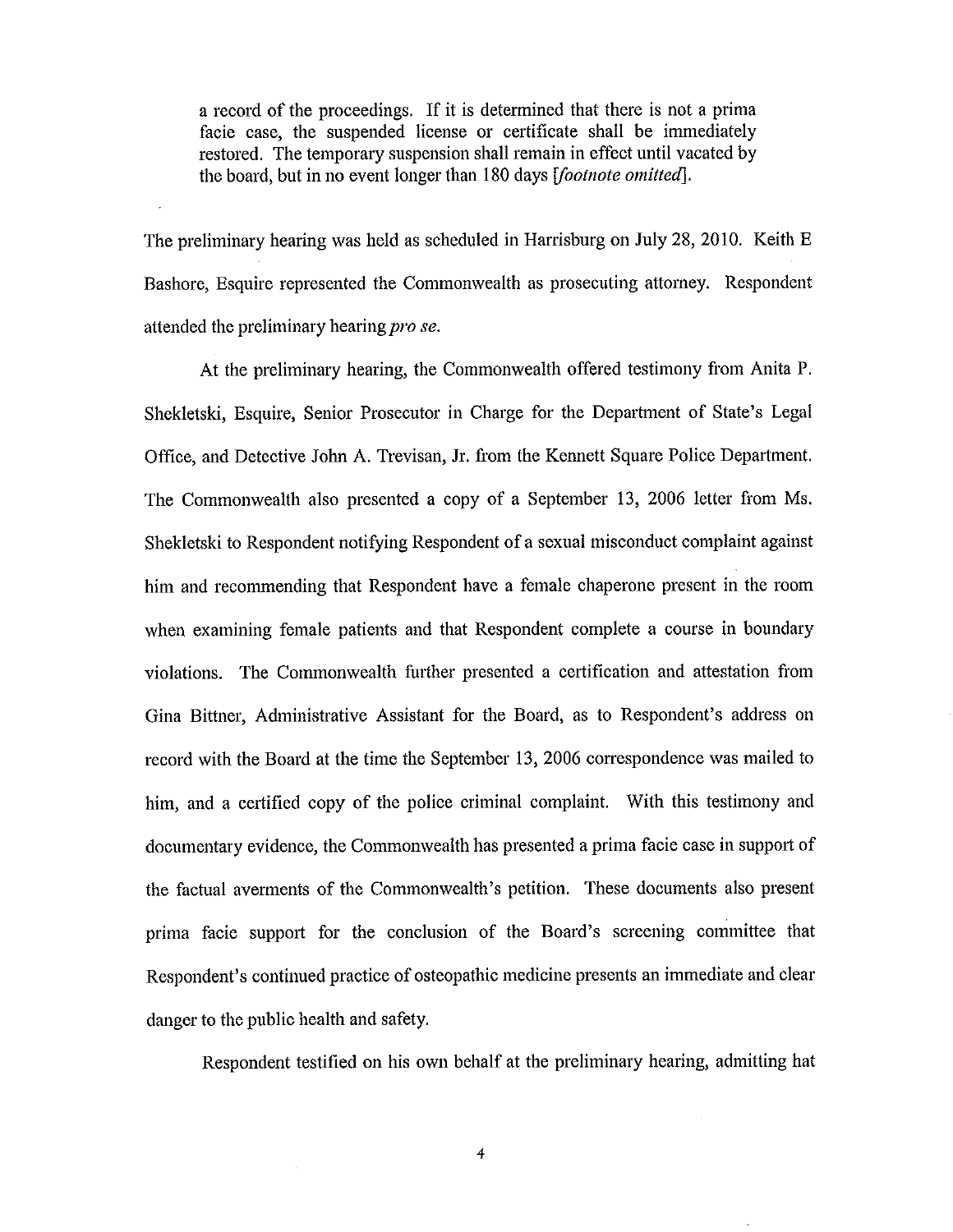a record of the proceedings. If it is determined that there is not a prima facie case, the suspended license or certificate shall be immediately restored. The temporary suspension shall remain in effect until vacated by the board, but in no event longer than 180 days *[footnote omitted].* 

The preliminary hearing was held as scheduled in Harrisburg on July 28, 2010. Keith E Bashore, Esquire represented the Commonwealth as prosecuting attorney. Respondent attended the preliminary hearing *pro se.* 

At the preliminary hearing, the Commonwealth offered testimony from Anita P. Shekletski, Esquire, Senior Prosecutor in Charge for the Department of State's Legal Office, and Detective John A. Trevisan, Jr. from the Kennett Square Police Department. The Commonwealth also presented a copy of a September 13, 2006 letter from Ms. Shekletski to Respondent notifying Respondent of a sexual misconduct complaint against him and recommending that Respondent have a female chaperone present in the room when examining female patients and that Respondent complete a course in boundary violations. The Commonwealth further presented a certification and attestation from Gina Bittner, Administrative Assistant for the Board, as to Respondent's address on record with the Board at the time the September 13, 2006 correspondence was mailed to him, and a certified copy of the police criminal complaint. With this testimony and documentary evidence, the Commonwealth has presented a prima facie case in support of the factual averments of the Commonwealth's petition. These documents also present prima facie support for the conclusion of the Board's screening committee that Respondent's continued practice of osteopathic medicine presents an immediate and clear danger to the public health and safety.

Respondent testified on his own behalf at the preliminary hearing, admitting hat

*4*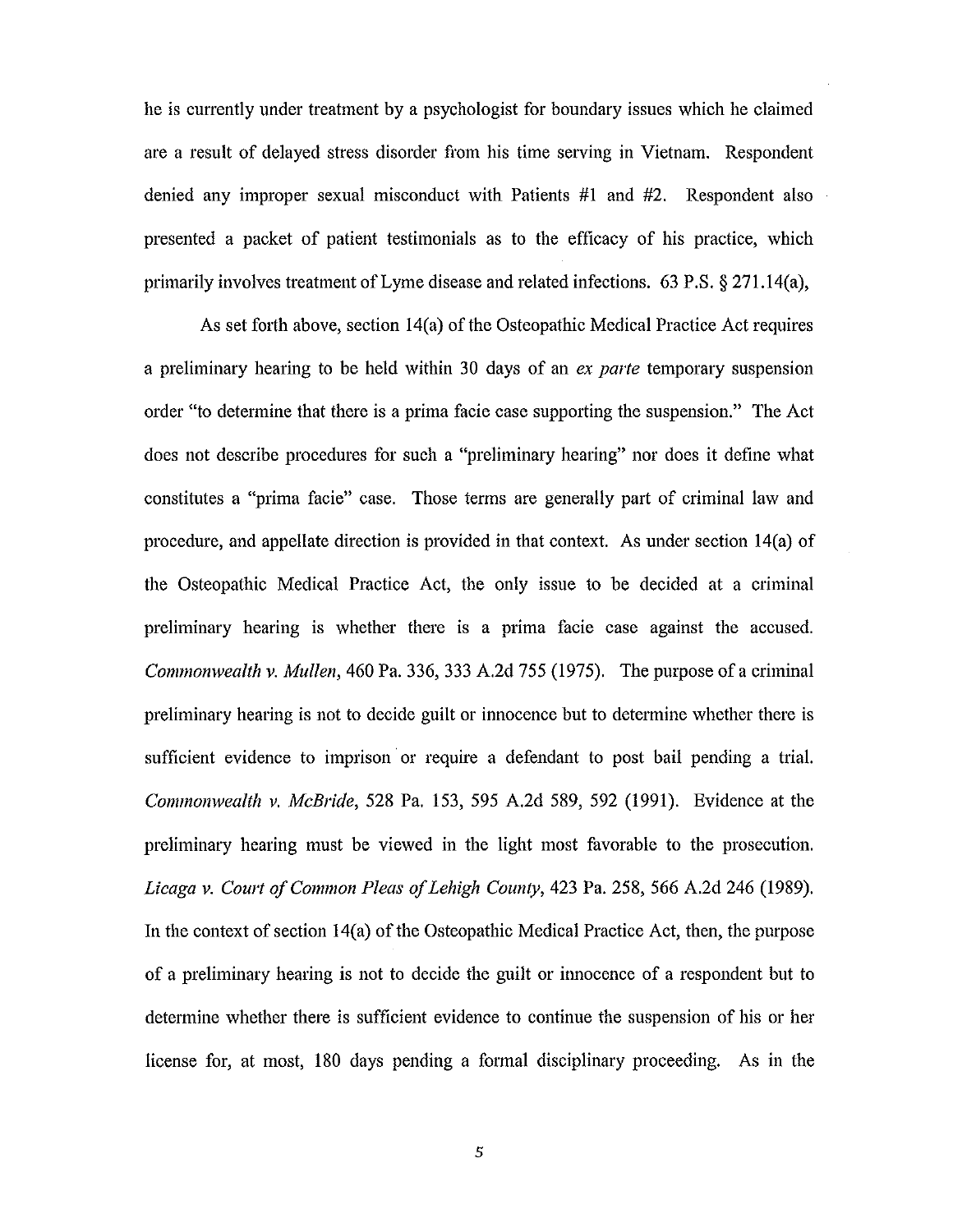he is currently under treatment by a psychologist for boundary issues which he claimed are a result of delayed stress disorder from his time serving in Vietnam. Respondent denied any improper sexual misconduct with Patients #1 and #2. Respondent also presented a packet of patient testimonials as to the efficacy of his practice, which primarily involves treatment of Lyme disease and related infections. 63 P.S. § 271.14(a),

As set forth above, section 14(a) of the Osteopathic Medical Practice Act requires a preliminary hearing to be held within 30 days of an *ex parte* temporary suspension order "to determine that there is a prima facie case supporting the suspension." The Act does not describe procedures for such a "preliminary hearing" nor does it define what constitutes a "prima facie" case. Those terms are generally part of criminal law and procedure, and appellate direction is provided in that context. As under section 14(a) of the Osteopathic Medical Practice Act, the only issue to be decided at a criminal preliminary hearing is whether there is a prima facie case against the accused. *Commonwealth v. Mullen,* 460 Pa. 336, 333 A.2d 755 (1975). The purpose of a criminal preliminary hearing is not to decide guilt or innocence but to determine whether there is sufficient evidence to imprison or require a defendant to post bail pending a trial. *Commonwealth v. McBride,* 528 Pa. 153, 595 A.2d 589, 592 (1991). Evidence at the preliminary hearing must be viewed in the light most favorable to the prosecution. *Licaga v. Court of Common Pleas of Lehigh County,* 423 Pa. 258, 566 A.2d 246 (1989). In the context of section 14(a) of the Osteopathic Medical Practice Act, then, the purpose of a preliminary hearing is not to decide the guilt or innocence of a respondent but to determine whether there is sufficient evidence to continue the suspension of his or her license for, at most, 180 days pending a fotmal disciplinary proceeding. As in the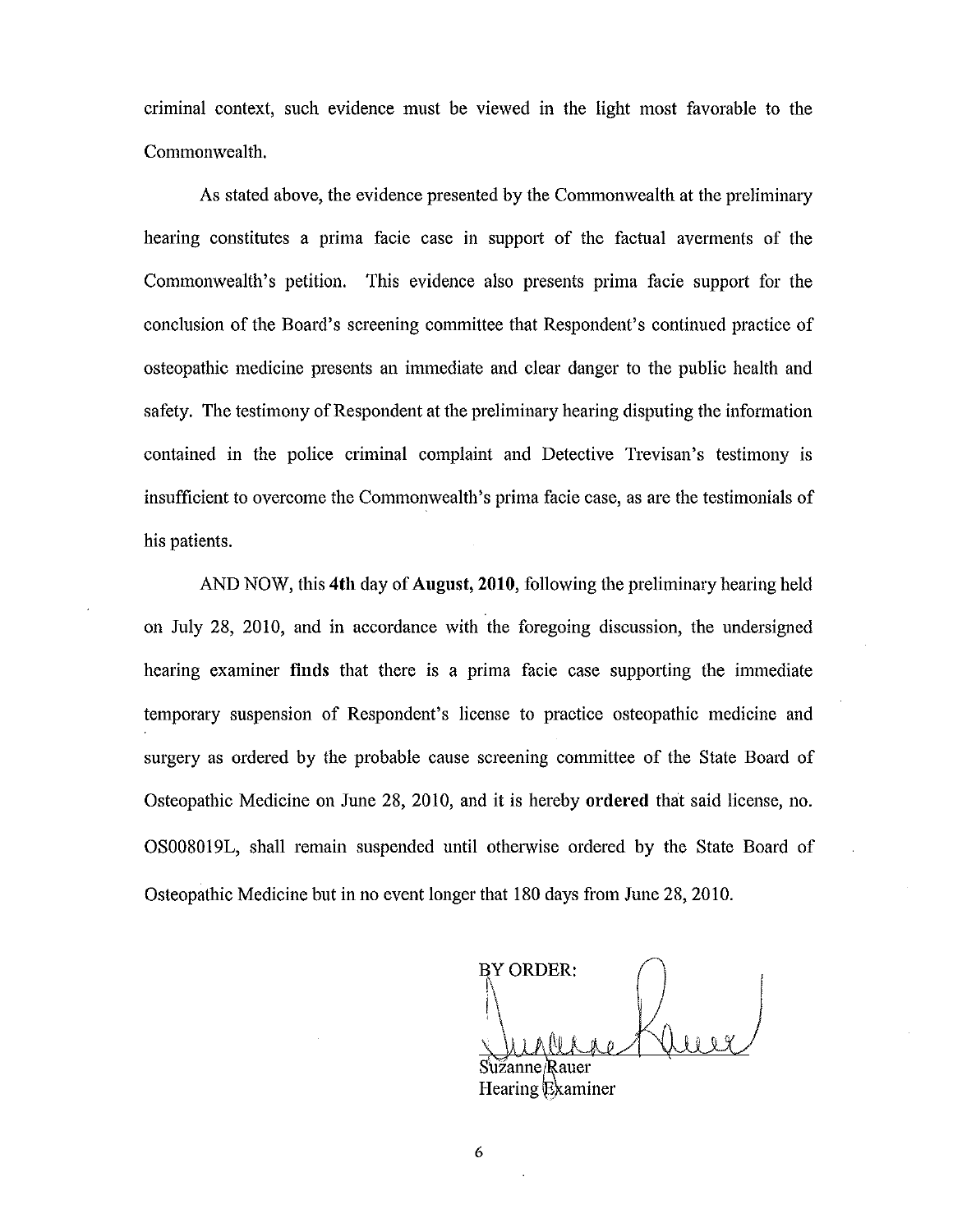criminal context, such evidence must be viewed m the light most favorable to the Commonwealth.

As stated above, the evidence presented by the Commonwealth at the preliminary hearing constitutes a prima facie case in support of the factual averments of the Commonwealth's petition. This evidence also presents prima facie support for the conclusion of the Board's screening committee that Respondent's continued practice of osteopathic medicine presents an immediate and clear danger to the public health and safety. The testimony of Respondent at the preliminary hearing disputing the information contained in the police criminal complaint and Detective Trevisan's testimony is insufficient to overcome the Commonwealth's prima facie case, as are the testimonials of his patients.

AND NOW, this **4th** day of **August, 2010,** following the preliminary hearing held on July 28, 2010, and in accordance with the foregoing discussion, the undersigned hearing examiner **finds** that there is a prima facie case supporting the immediate temporary suspension of Respondent's license to practice osteopathic medicine and surgery as ordered by the probable cause screening committee of the State Board of Osteopathic Medicine on June 28, 2010, and it is hereby **ordered** that said license, no. OS0080 19L, shall remain suspended until otherwise ordered by the State Board of Osteopathic Medicine but in no event longer that 180 days from June 28, 2010.

BY ORDER:  $\mathcal{L}$ 

Sužanne/Rauer Hearing Examiner

6